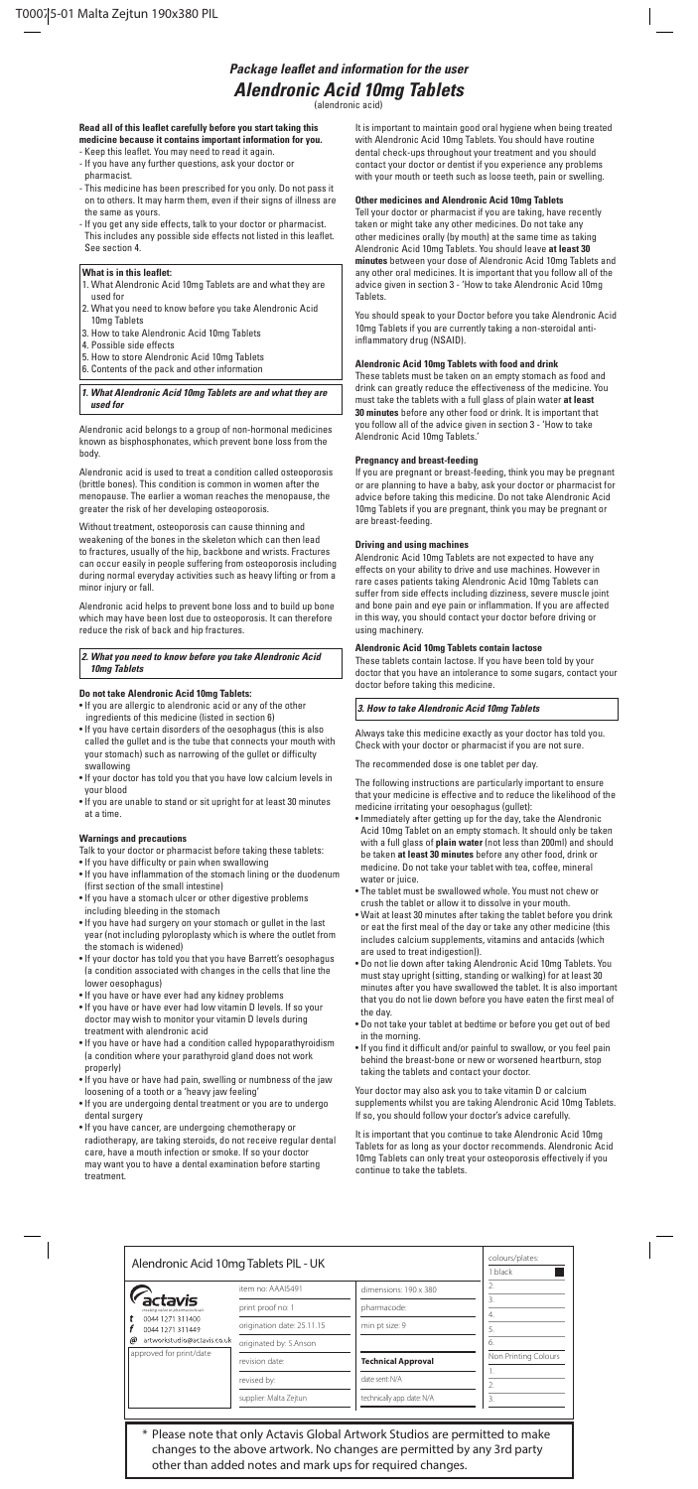# *Package leaflet and information for the user Alendronic Acid 10mg Tablets*

(alendronic acid)

#### **Read all of this leaflet carefully before you start taking this medicine because it contains important information for you.**

- Keep this leaflet. You may need to read it again. - If you have any further questions, ask your doctor or
- pharmacist. - This medicine has been prescribed for you only. Do not pass it on to others. It may harm them, even if their signs of illness are the same as yours.
- If you get any side effects, talk to your doctor or pharmacist. This includes any possible side effects not listed in this leaflet. See section 4.

#### **What is in this leaflet:**

- 1. What Alendronic Acid 10mg Tablets are and what they are used for
- 2. What you need to know before you take Alendronic Acid 10mg Tablets
- 3. How to take Alendronic Acid 10mg Tablets
- 4. Possible side effects
- 5. How to store Alendronic Acid 10mg Tablets
- 6. Contents of the pack and other information

#### *1. What Alendronic Acid 10mg Tablets are and what they are used for*

Alendronic acid belongs to a group of non-hormonal medicines known as bisphosphonates, which prevent bone loss from the body.

Alendronic acid is used to treat a condition called osteoporosis (brittle bones). This condition is common in women after the menopause. The earlier a woman reaches the menopause, the greater the risk of her developing osteoporosis.

Without treatment, osteoporosis can cause thinning and weakening of the bones in the skeleton which can then lead to fractures, usually of the hip, backbone and wrists. Fractures can occur easily in people suffering from osteoporosis including during normal everyday activities such as heavy lifting or from a minor injury or fall.

Alendronic acid helps to prevent bone loss and to build up bone which may have been lost due to osteoporosis. It can therefore reduce the risk of back and hip fractures.

## *2. What you need to know before you take Alendronic Acid 10mg Tablets*

## **Do not take Alendronic Acid 10mg Tablets:**

- If you are allergic to alendronic acid or any of the other ingredients of this medicine (listed in section 6)
- If you have certain disorders of the oesophagus (this is also called the gullet and is the tube that connects your mouth with your stomach) such as narrowing of the gullet or difficulty swallowing
- If your doctor has told you that you have low calcium levels in your blood
- If you are unable to stand or sit upright for at least 30 minutes at a time.

#### **Warnings and precautions**

- Talk to your doctor or pharmacist before taking these tablets:
- If you have difficulty or pain when swallowing
- If you have inflammation of the stomach lining or the duodenum (first section of the small intestine)
- If you have a stomach ulcer or other digestive problems including bleeding in the stomach
- 
- If you have had surgery on your stomach or gullet in the last year (not including pyloroplasty which is where the outlet from the stomach is widened)
- If your doctor has told you that you have Barrett's oesophagus (a condition associated with changes in the cells that line the lower oesophagus)
- If you have or have ever had any kidney problems
- If you have or have ever had low vitamin D levels. If so your doctor may wish to monitor your vitamin D levels during treatment with alendronic acid
- If you have or have had a condition called hypoparathyroidism (a condition where your parathyroid gland does not work properly)
- If you have or have had pain, swelling or numbness of the jaw loosening of a tooth or a 'heavy jaw feeling'
- If you are undergoing dental treatment or you are to undergo dental surgery
- If you have cancer, are undergoing chemotherapy or radiotherapy, are taking steroids, do not receive regular dental care, have a mouth infection or smoke. If so your doctor may want you to have a dental examination before starting treatment.

It is important to maintain good oral hygiene when being treated with Alendronic Acid 10mg Tablets. You should have routine dental check-ups throughout your treatment and you should contact your doctor or dentist if you experience any problems with your mouth or teeth such as loose teeth, pain or swelling.

### **Other medicines and Alendronic Acid 10mg Tablets**

Tell your doctor or pharmacist if you are taking, have recently taken or might take any other medicines. Do not take any other medicines orally (by mouth) at the same time as taking Alendronic Acid 10mg Tablets. You should leave **at least 30 minutes** between your dose of Alendronic Acid 10mg Tablets and any other oral medicines. It is important that you follow all of the advice given in section 3 - 'How to take Alendronic Acid 10mg Tablets.

You should speak to your Doctor before you take Alendronic Acid 10mg Tablets if you are currently taking a non-steroidal antiinflammatory drug (NSAID).

## **Alendronic Acid 10mg Tablets with food and drink**

These tablets must be taken on an empty stomach as food and drink can greatly reduce the effectiveness of the medicine. You must take the tablets with a full glass of plain water **at least 30 minutes** before any other food or drink. It is important that you follow all of the advice given in section 3 - 'How to take Alendronic Acid 10mg Tablets.'

#### **Pregnancy and breast-feeding**

If you are pregnant or breast-feeding, think you may be pregnant or are planning to have a baby, ask your doctor or pharmacist for advice before taking this medicine. Do not take Alendronic Acid 10mg Tablets if you are pregnant, think you may be pregnant or are breast-feeding.

#### **Driving and using machines**

Alendronic Acid 10mg Tablets are not expected to have any effects on your ability to drive and use machines. However in rare cases patients taking Alendronic Acid 10mg Tablets can suffer from side effects including dizziness, severe muscle joint and bone pain and eye pain or inflammation. If you are affected in this way, you should contact your doctor before driving or using machinery.

#### **Alendronic Acid 10mg Tablets contain lactose**

These tablets contain lactose. If you have been told by your doctor that you have an intolerance to some sugars, contact your doctor before taking this medicine.

## *3. How to take Alendronic Acid 10mg Tablets*

Always take this medicine exactly as your doctor has told you. Check with your doctor or pharmacist if you are not sure.

The recommended dose is one tablet per day.

The following instructions are particularly important to ensure that your medicine is effective and to reduce the likelihood of the medicine irritating your oesophagus (gullet):

- Immediately after getting up for the day, take the Alendronic Acid 10mg Tablet on an empty stomach. It should only be taken with a full glass of **plain water** (not less than 200ml) and should be taken **at least 30 minutes** before any other food, drink or medicine. Do not take your tablet with tea, coffee, mineral water or juice.
- The tablet must be swallowed whole. You must not chew or crush the tablet or allow it to dissolve in your mouth.
- Wait at least 30 minutes after taking the tablet before you drink or eat the first meal of the day or take any other medicine (this includes calcium supplements, vitamins and antacids (which are used to treat indigestion)).
- Do not lie down after taking Alendronic Acid 10mg Tablets. You must stay upright (sitting, standing or walking) for at least 30 minutes after you have swallowed the tablet. It is also important that you do not lie down before you have eaten the first meal of the day.
- Do not take your tablet at bedtime or before you get out of bed in the morning.
- If you find it difficult and/or painful to swallow, or you feel pain behind the breast-bone or new or worsened heartburn, stop taking the tablets and contact your doctor.

Your doctor may also ask you to take vitamin D or calcium supplements whilst you are taking Alendronic Acid 10mg Tablets. If so, you should follow your doctor's advice carefully.

It is important that you continue to take Alendronic Acid 10mg Tablets for as long as your doctor recommends. Alendronic Acid 10mg Tablets can only treat your osteoporosis effectively if you continue to take the tablets.